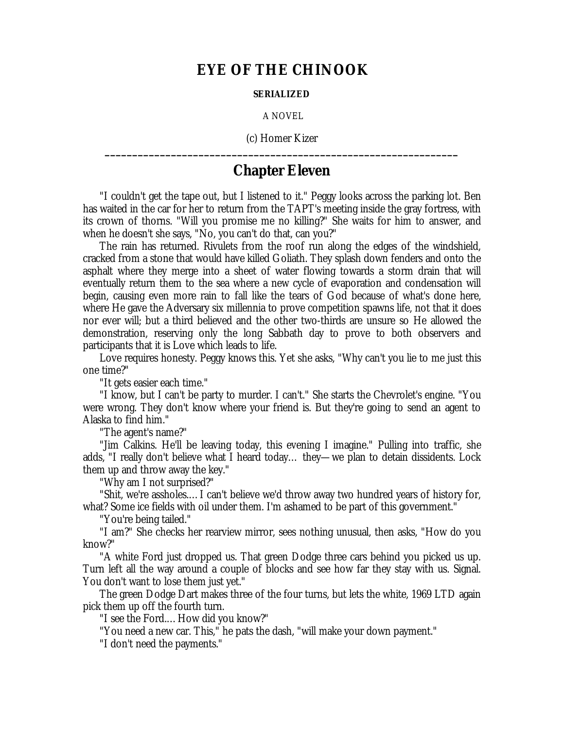## **EYE OF THE CHINOOK**

## **SERIALIZED**

A NOVEL

(c) Homer Kizer **\_\_\_\_\_\_\_\_\_\_\_\_\_\_\_\_\_\_\_\_\_\_\_\_\_\_\_\_\_\_\_\_\_\_\_\_\_\_\_\_\_\_\_\_\_\_\_\_\_\_\_\_\_\_\_\_\_\_\_\_\_\_\_\_**

## **Chapter Eleven**

"I couldn't get the tape out, but I listened to it." Peggy looks across the parking lot. Ben has waited in the car for her to return from the TAPT's meeting inside the gray fortress, with its crown of thorns. "Will you promise me no killing?" She waits for him to answer, and when he doesn't she says, "No, you can't do that, can you?"

The rain has returned. Rivulets from the roof run along the edges of the windshield, cracked from a stone that would have killed Goliath. They splash down fenders and onto the asphalt where they merge into a sheet of water flowing towards a storm drain that will eventually return them to the sea where a new cycle of evaporation and condensation will begin, causing even more rain to fall like the tears of God because of what's done here, where He gave the Adversary six millennia to prove competition spawns life, not that it does nor ever will; but a third believed and the other two-thirds are unsure so He allowed the demonstration, reserving only the long Sabbath day to prove to both observers and participants that it is Love which leads to life.

Love requires honesty. Peggy knows this. Yet she asks, "Why can't you lie to me just this one time?"

"It gets easier each time."

"I know, but I can't be party to murder. I can't." She starts the Chevrolet's engine. "You were wrong. They don't know where your friend is. But they're going to send an agent to Alaska to find him."

"The agent's name?"

"Jim Calkins. He'll be leaving today, this evening I imagine." Pulling into traffic, she adds, "I really don't believe what I heard today… they— we plan to detain dissidents. Lock them up and throw away the key."

"Why am I not surprised?"

"Shit, we're assholes.… I can't believe we'd throw away two hundred years of history for, what? Some ice fields with oil under them. I'm ashamed to be part of this government."

"You're being tailed."

"I am?" She checks her rearview mirror, sees nothing unusual, then asks, "How do you know?"

"A white Ford just dropped us. That green Dodge three cars behind you picked us up. Turn left all the way around a couple of blocks and see how far they stay with us. Signal. You don't want to lose them just yet."

The green Dodge Dart makes three of the four turns, but lets the white, 1969 LTD again pick them up off the fourth turn.

"I see the Ford.… How did you know?"

"You need a new car. This," he pats the dash, "will make your down payment."

"I don't need the payments."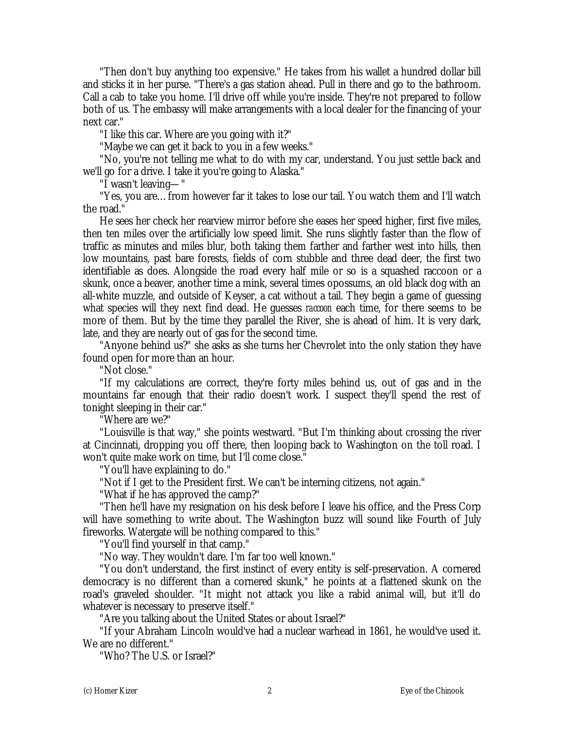"Then don't buy anything too expensive." He takes from his wallet a hundred dollar bill and sticks it in her purse. "There's a gas station ahead. Pull in there and go to the bathroom. Call a cab to take you home. I'll drive off while you're inside. They're not prepared to follow both of us. The embassy will make arrangements with a local dealer for the financing of your next car."

"I like this car. Where are you going with it?"

"Maybe we can get it back to you in a few weeks."

"No, you're not telling me what to do with my car, understand. You just settle back and we'll go for a drive. I take it you're going to Alaska."

"I wasn't leaving— "

"Yes, you are… from however far it takes to lose our tail. You watch them and I'll watch the road."

He sees her check her rearview mirror before she eases her speed higher, first five miles, then ten miles over the artificially low speed limit. She runs slightly faster than the flow of traffic as minutes and miles blur, both taking them farther and farther west into hills, then low mountains, past bare forests, fields of corn stubble and three dead deer, the first two identifiable as does. Alongside the road every half mile or so is a squashed raccoon or a skunk, once a beaver, another time a mink, several times opossums, an old black dog with an all-white muzzle, and outside of Keyser, a cat without a tail. They begin a game of guessing what species will they next find dead. He guesses *raccoon* each time, for there seems to be more of them. But by the time they parallel the River, she is ahead of him. It is very dark, late, and they are nearly out of gas for the second time.

"Anyone behind us?" she asks as she turns her Chevrolet into the only station they have found open for more than an hour.

"Not close."

"If my calculations are correct, they're forty miles behind us, out of gas and in the mountains far enough that their radio doesn't work. I suspect they'll spend the rest of tonight sleeping in their car."

"Where are we?"

"Louisville is that way," she points westward. "But I'm thinking about crossing the river at Cincinnati, dropping you off there, then looping back to Washington on the toll road. I won't quite make work on time, but I'll come close."

"You'll have explaining to do."

"Not if I get to the President first. We can't be interning citizens, not again."

"What if he has approved the camp?"

"Then he'll have my resignation on his desk before I leave his office, and the Press Corp will have something to write about. The Washington buzz will sound like Fourth of July fireworks. Watergate will be nothing compared to this."

"You'll find yourself in that camp."

"No way. They wouldn't dare. I'm far too well known."

"You don't understand, the first instinct of every entity is self-preservation. A cornered democracy is no different than a cornered skunk," he points at a flattened skunk on the road's graveled shoulder. "It might not attack you like a rabid animal will, but it'll do whatever is necessary to preserve itself."

"Are you talking about the United States or about Israel?"

"If your Abraham Lincoln would've had a nuclear warhead in 1861, he would've used it. We are no different."

"Who? The U.S. or Israel?"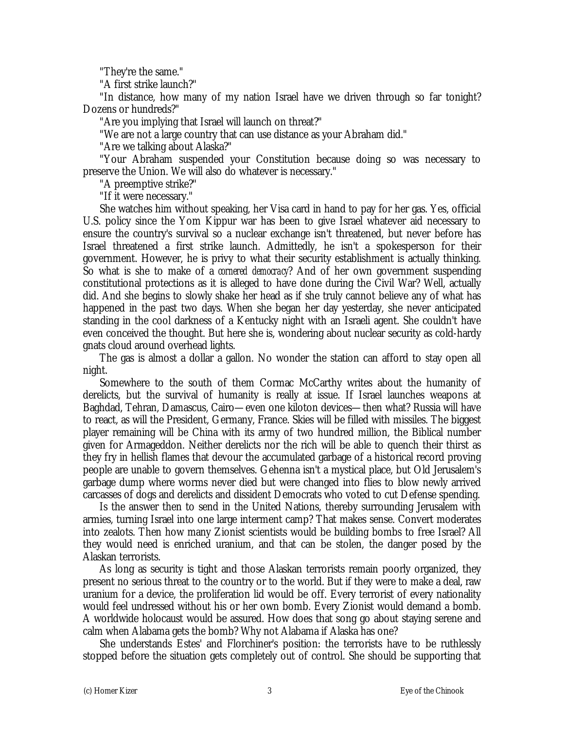"They're the same."

"A first strike launch?"

"In distance, how many of my nation Israel have we driven through so far tonight? Dozens or hundreds?"

"Are you implying that Israel will launch on threat?"

"We are not a large country that can use distance as your Abraham did."

"Are we talking about Alaska?"

"Your Abraham suspended your Constitution because doing so was necessary to preserve the Union. We will also do whatever is necessary."

"A preemptive strike?"

"If it were necessary."

She watches him without speaking, her Visa card in hand to pay for her gas. Yes, official U.S. policy since the Yom Kippur war has been to give Israel whatever aid necessary to ensure the country's survival so a nuclear exchange isn't threatened, but never before has Israel threatened a first strike launch. Admittedly, he isn't a spokesperson for their government. However, he is privy to what their security establishment is actually thinking. So what is she to make of a *cornered democracy*? And of her own government suspending constitutional protections as it is alleged to have done during the Civil War? Well, actually did. And she begins to slowly shake her head as if she truly cannot believe any of what has happened in the past two days. When she began her day yesterday, she never anticipated standing in the cool darkness of a Kentucky night with an Israeli agent. She couldn't have even conceived the thought. But here she is, wondering about nuclear security as cold-hardy gnats cloud around overhead lights.

The gas is almost a dollar a gallon. No wonder the station can afford to stay open all night.

Somewhere to the south of them Cormac McCarthy writes about the humanity of derelicts, but the survival of humanity is really at issue. If Israel launches weapons at Baghdad, Tehran, Damascus, Cairo— even one kiloton devices— then what? Russia will have to react, as will the President, Germany, France. Skies will be filled with missiles. The biggest player remaining will be China with its army of two hundred million, the Biblical number given for Armageddon. Neither derelicts nor the rich will be able to quench their thirst as they fry in hellish flames that devour the accumulated garbage of a historical record proving people are unable to govern themselves. Gehenna isn't a mystical place, but Old Jerusalem's garbage dump where worms never died but were changed into flies to blow newly arrived carcasses of dogs and derelicts and dissident Democrats who voted to cut Defense spending.

Is the answer then to send in the United Nations, thereby surrounding Jerusalem with armies, turning Israel into one large interment camp? That makes sense. Convert moderates into zealots. Then how many Zionist scientists would be building bombs to free Israel? All they would need is enriched uranium, and that can be stolen, the danger posed by the Alaskan terrorists.

As long as security is tight and those Alaskan terrorists remain poorly organized, they present no serious threat to the country or to the world. But if they were to make a deal, raw uranium for a device, the proliferation lid would be off. Every terrorist of every nationality would feel undressed without his or her own bomb. Every Zionist would demand a bomb. A worldwide holocaust would be assured. How does that song go about staying serene and calm when Alabama gets the bomb? Why not Alabama if Alaska has one?

She understands Estes' and Florchiner's position: the terrorists have to be ruthlessly stopped before the situation gets completely out of control. She should be supporting that